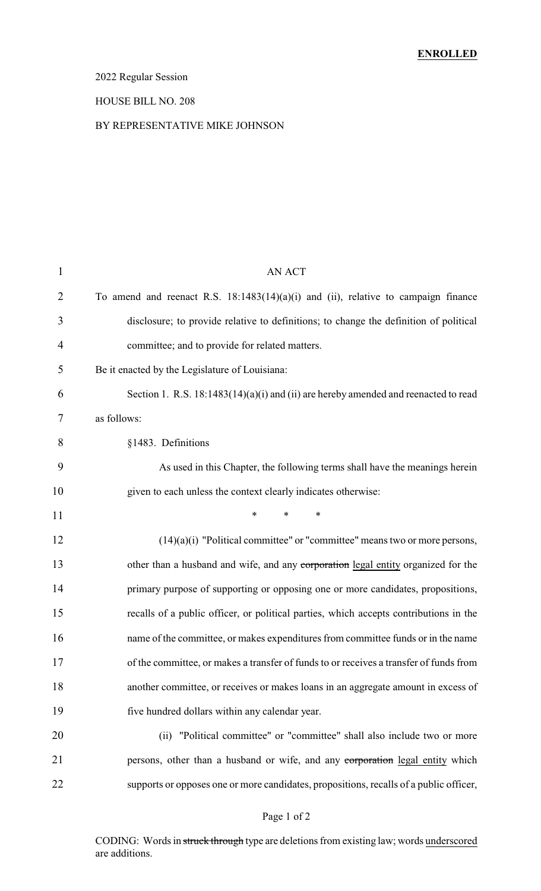## 2022 Regular Session

#### HOUSE BILL NO. 208

#### BY REPRESENTATIVE MIKE JOHNSON

| $\mathbf{1}$   | AN ACT                                                                                 |
|----------------|----------------------------------------------------------------------------------------|
| $\overline{2}$ | To amend and reenact R.S. $18:1483(14)(a)(i)$ and (ii), relative to campaign finance   |
| 3              | disclosure; to provide relative to definitions; to change the definition of political  |
| $\overline{4}$ | committee; and to provide for related matters.                                         |
| 5              | Be it enacted by the Legislature of Louisiana:                                         |
| 6              | Section 1. R.S. 18:1483(14)(a)(i) and (ii) are hereby amended and reenacted to read    |
| 7              | as follows:                                                                            |
| 8              | §1483. Definitions                                                                     |
| 9              | As used in this Chapter, the following terms shall have the meanings herein            |
| 10             | given to each unless the context clearly indicates otherwise:                          |
| 11             | $\ast$<br>$\ast$<br>*                                                                  |
| 12             | $(14)(a)(i)$ "Political committee" or "committee" means two or more persons,           |
| 13             | other than a husband and wife, and any corporation legal entity organized for the      |
| 14             | primary purpose of supporting or opposing one or more candidates, propositions,        |
| 15             | recalls of a public officer, or political parties, which accepts contributions in the  |
| 16             | name of the committee, or makes expenditures from committee funds or in the name       |
| 17             | of the committee, or makes a transfer of funds to or receives a transfer of funds from |
| 18             | another committee, or receives or makes loans in an aggregate amount in excess of      |
| 19             | five hundred dollars within any calendar year.                                         |
| 20             | "Political committee" or "committee" shall also include two or more<br>(ii)            |
| 21             | persons, other than a husband or wife, and any corporation legal entity which          |
| 22             | supports or opposes one or more candidates, propositions, recalls of a public officer, |

## Page 1 of 2

CODING: Words in struck through type are deletions from existing law; words underscored are additions.